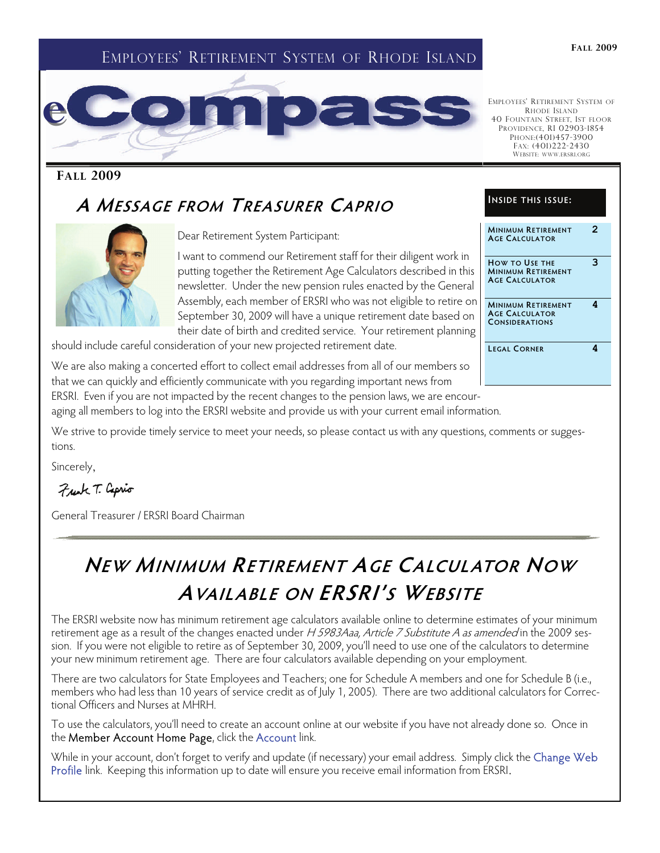### EMPLOYEES' RETIREMENT SYSTEM OF RHODE ISLAND



### **FALL 2009**

## **A MESSAGE FROM TREASURER CAPRIO**



Dear Retirement System Participant:

I want to commend our Retirement staff for their diligent work in putting together the Retirement Age Calculators described in this newsletter. Under the new pension rules enacted by the General Assembly, each member of ERSRI who was not eligible to retire on September 30, 2009 will have a unique retirement date based on their date of birth and credited service. Your retirement planning

should include careful consideration of your new projected retirement date.

We are also making a concerted effort to collect email addresses from all of our members so that we can quickly and efficiently communicate with you regarding important news from

### **INSIDE THIS ISSUE: MINIMUM RETIREMENT AGE CALCULATOR 2 HOW TO USE THE MINIMUM RETIREMENT AGE CALCULATOR 3**

EMPLOYEES' RETIREMENT SYSTEM OF RHODE ISLAND 40 FOUNTAIN STREET, 1ST FLOOR PROVIDENCE, RI 02903-1854 PHONE:(401)457-3900 FAX: (401)222-2430 WEBSITE: WWW.ERSRI.ORG

**MINIMUM RETIREMENT AGE CALCULATOR CONSIDERATIONS 4** 

**LEGAL CORNER 4** 

ERSRI. Even if you are not impacted by the recent changes to the pension laws, we are encour-

aging all members to log into the ERSRI website and provide us with your current email information.

We strive to provide timely service to meet your needs, so please contact us with any questions, comments or suggestions.

Sincerely,

Frank T. Caprio

General Treasurer / ERSRI Board Chairman

## **NEW MINIMUM RETIREMENT AGE CALCUL ATOR NOW AVAIL ABLE ON ERSRI'S WEBSITE**

The ERSRI website now has minimum retirement age calculators available online to determine estimates of your minimum retirement age as a result of the changes enacted under H 5983Aaa, Article 7 Substitute A as amended in the 2009 session. If you were not eligible to retire as of September 30, 2009, you'll need to use one of the calculators to determine your new minimum retirement age. There are four calculators available depending on your employment.

There are two calculators for State Employees and Teachers; one for Schedule A members and one for Schedule B (i.e., members who had less than 10 years of service credit as of July 1, 2005). There are two additional calculators for Correctional Officers and Nurses at MHRH.

To use the calculators, you'll need to create an account online at our website if you have not already done so. Once in the Member Account Home Page, click the Account link.

While in your account, don't forget to verify and update (if necessary) your email address. Simply click the Change Web Profile link. Keeping this information up to date will ensure you receive email information from ERSRI.

#### **FALL 2009**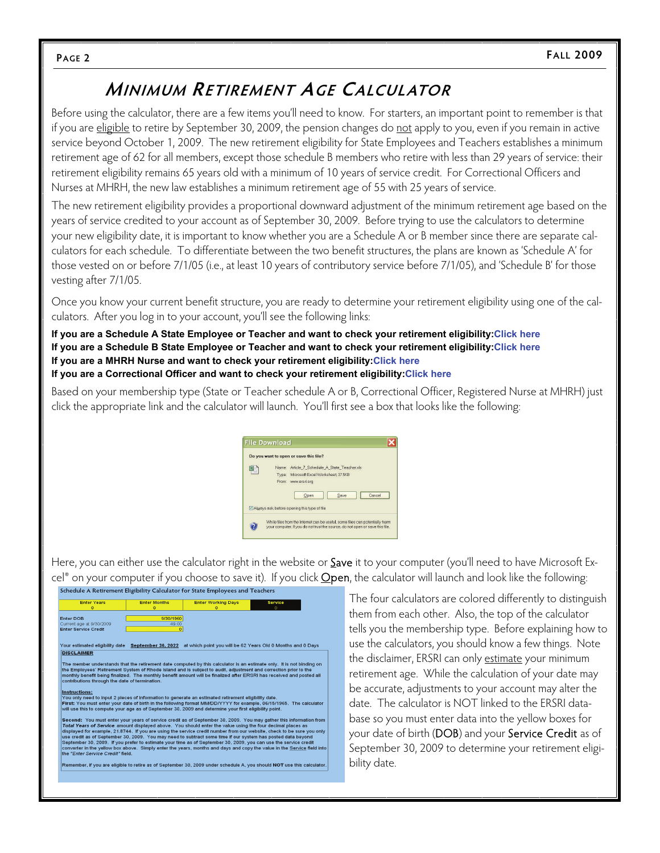## **MINIMUM RETIREMENT AGE CALCUL ATOR**

Before using the calculator, there are a few items you'll need to know. For starters, an important point to remember is that if you are eligible to retire by September 30, 2009, the pension changes do not apply to you, even if you remain in active service beyond October 1, 2009. The new retirement eligibility for State Employees and Teachers establishes a minimum retirement age of 62 for all members, except those schedule B members who retire with less than 29 years of service: their retirement eligibility remains 65 years old with a minimum of 10 years of service credit. For Correctional Officers and Nurses at MHRH, the new law establishes a minimum retirement age of 55 with 25 years of service.

The new retirement eligibility provides a proportional downward adjustment of the minimum retirement age based on the years of service credited to your account as of September 30, 2009. Before trying to use the calculators to determine your new eligibility date, it is important to know whether you are a Schedule A or B member since there are separate calculators for each schedule. To differentiate between the two benefit structures, the plans are known as 'Schedule A' for those vested on or before 7/1/05 (i.e., at least 10 years of contributory service before 7/1/05), and 'Schedule B' for those vesting after 7/1/05.

Once you know your current benefit structure, you are ready to determine your retirement eligibility using one of the calculators. After you log in to your account, you'll see the following links:

**If you are a Schedule A State Employee or Teacher and want to check your retirement eligibility:Click here If you are a Schedule B State Employee or Teacher and want to check your retirement eligibility:Click here If you are a MHRH Nurse and want to check your retirement eligibility:Click here If you are a Correctional Officer and want to check your retirement eligibility:Click here**

Based on your membership type (State or Teacher schedule A or B, Correctional Officer, Registered Nurse at MHRH) just click the appropriate link and the calculator will launch. You'll first see a box that looks like the following:



Here, you can either use the calculator right in the website or **Save** it to your computer (you'll need to have Microsoft Ex- $\text{cell}^{\circ}$  on your computer if you choose to save it). If you click **Open**, the calculator will launch and look like the following:<br>Schedule A Retirement Eligibility Calculator for state Employees and Teachers

| <b>Enter Years</b><br>$\mathbf{o}$             | <b>Enter Months</b><br>$\bullet$ | <b>Enter Working Days</b><br>$\bullet$                                                                                                                                                                                                                                                                                                         | <b>Service</b><br>n                                                                                                                                                                                                                                                                                                                                                     |
|------------------------------------------------|----------------------------------|------------------------------------------------------------------------------------------------------------------------------------------------------------------------------------------------------------------------------------------------------------------------------------------------------------------------------------------------|-------------------------------------------------------------------------------------------------------------------------------------------------------------------------------------------------------------------------------------------------------------------------------------------------------------------------------------------------------------------------|
| <b>Enter DOB</b><br>Current age at 9/30/2009   | 9/30/1960<br>49.00               |                                                                                                                                                                                                                                                                                                                                                |                                                                                                                                                                                                                                                                                                                                                                         |
| <b>Enter Service Credit</b>                    | $\mathbf{o}$                     |                                                                                                                                                                                                                                                                                                                                                |                                                                                                                                                                                                                                                                                                                                                                         |
| Your estimated eligibility date                | September 30, 2022               |                                                                                                                                                                                                                                                                                                                                                | at which point you will be 62 Years Old 0 Months and 0 Days                                                                                                                                                                                                                                                                                                             |
| <b>DISCLAIMER</b>                              |                                  |                                                                                                                                                                                                                                                                                                                                                |                                                                                                                                                                                                                                                                                                                                                                         |
| contributions through the date of termination. |                                  | the Employees' Retirement System of Rhode Island and is subject to audit, adjustment and correction prior to the                                                                                                                                                                                                                               | The member understands that the retirement date computed by this calculator is an estimate only. It is not binding on<br>monthly benefit being finalized. The monthly benefit amount will be finalized after ERSRI has received and posted all                                                                                                                          |
| Instructions:                                  |                                  | You only need to input 2 pieces of information to generate an estimated retirement eligibility date.<br>will use this to compute your age as of September 30, 2009 and determine your first eligibility point.                                                                                                                                 | First: You must enter your date of birth in the following format MM/DD/YYYY for example, 06/15/1965. The calculator                                                                                                                                                                                                                                                     |
| the "Enter Service Credit" field.              |                                  | Total Years of Service amount displayed above. You should enter the value using the four decimal places as<br>use credit as of September 30, 2009. You may need to subtract some time if our system has posted data beyond<br>September 30, 2009. If you prefer to estimate your time as of September 30, 2009, you can use the service credit | Second: You must enter your years of service credit as of September 30, 2009. You may gather this information from<br>displayed for example, 21,8744. If you are using the service credit number from our website, check to be sure you only<br>converter in the yellow box above. Simply enter the years, months and days and copy the value in the Service field into |
|                                                |                                  |                                                                                                                                                                                                                                                                                                                                                | Remember, if you are eligible to retire as of September 30, 2009 under schedule A, you should NOT use this calculator.                                                                                                                                                                                                                                                  |
|                                                |                                  |                                                                                                                                                                                                                                                                                                                                                |                                                                                                                                                                                                                                                                                                                                                                         |

The four calculators are colored differently to distinguish them from each other. Also, the top of the calculator tells you the membership type. Before explaining how to use the calculators, you should know a few things. Note the disclaimer, ERSRI can only estimate your minimum retirement age. While the calculation of your date may be accurate, adjustments to your account may alter the date. The calculator is NOT linked to the ERSRI database so you must enter data into the yellow boxes for your date of birth (DOB) and your Service Credit as of September 30, 2009 to determine your retirement eligibility date.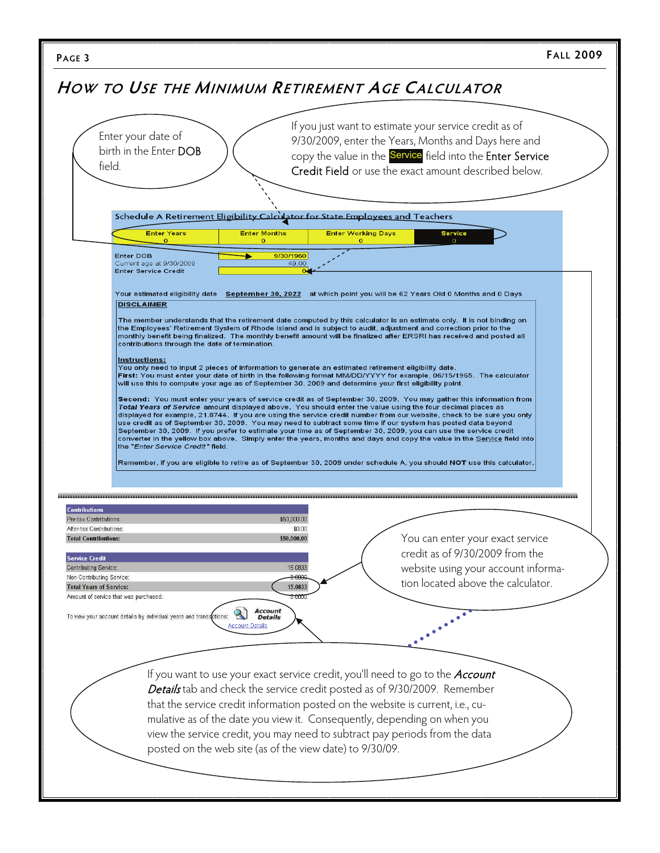|                                                                                                                      | HOW TO USE THE MINIMUM RETIREMENT AGE CALCULATOR                                                                                                                                                                                                                                                                                                                                                                                                                                                                                                                                                                                                                                                                                                                                                                                                                                                                                                                                                                                                                                                                                                                                                                                                                                                                                                                                                                                                                                                                                                                                                                                                                                                                                                                                                                   |
|----------------------------------------------------------------------------------------------------------------------|--------------------------------------------------------------------------------------------------------------------------------------------------------------------------------------------------------------------------------------------------------------------------------------------------------------------------------------------------------------------------------------------------------------------------------------------------------------------------------------------------------------------------------------------------------------------------------------------------------------------------------------------------------------------------------------------------------------------------------------------------------------------------------------------------------------------------------------------------------------------------------------------------------------------------------------------------------------------------------------------------------------------------------------------------------------------------------------------------------------------------------------------------------------------------------------------------------------------------------------------------------------------------------------------------------------------------------------------------------------------------------------------------------------------------------------------------------------------------------------------------------------------------------------------------------------------------------------------------------------------------------------------------------------------------------------------------------------------------------------------------------------------------------------------------------------------|
|                                                                                                                      |                                                                                                                                                                                                                                                                                                                                                                                                                                                                                                                                                                                                                                                                                                                                                                                                                                                                                                                                                                                                                                                                                                                                                                                                                                                                                                                                                                                                                                                                                                                                                                                                                                                                                                                                                                                                                    |
| field.                                                                                                               | If you just want to estimate your service credit as of<br>Enter your date of<br>9/30/2009, enter the Years, Months and Days here and<br>birth in the Enter DOB<br>copy the value in the Service field into the Enter Service<br>Credit Field or use the exact amount described below.                                                                                                                                                                                                                                                                                                                                                                                                                                                                                                                                                                                                                                                                                                                                                                                                                                                                                                                                                                                                                                                                                                                                                                                                                                                                                                                                                                                                                                                                                                                              |
|                                                                                                                      | Schedule A Retirement Eligibility Calculator for State Employees and Teachers                                                                                                                                                                                                                                                                                                                                                                                                                                                                                                                                                                                                                                                                                                                                                                                                                                                                                                                                                                                                                                                                                                                                                                                                                                                                                                                                                                                                                                                                                                                                                                                                                                                                                                                                      |
|                                                                                                                      | <b>Enter Months</b><br><b>Enter Working Days</b><br><b>Service</b><br><b>Enter Years</b><br>$\Omega$<br>$\Omega$<br>$\circ$                                                                                                                                                                                                                                                                                                                                                                                                                                                                                                                                                                                                                                                                                                                                                                                                                                                                                                                                                                                                                                                                                                                                                                                                                                                                                                                                                                                                                                                                                                                                                                                                                                                                                        |
|                                                                                                                      | <b>Enter DOB</b><br>9/30/1960<br>Current age at 9/30/2009<br>49.00<br><b>Enter Service Credit</b>                                                                                                                                                                                                                                                                                                                                                                                                                                                                                                                                                                                                                                                                                                                                                                                                                                                                                                                                                                                                                                                                                                                                                                                                                                                                                                                                                                                                                                                                                                                                                                                                                                                                                                                  |
|                                                                                                                      | Your estimated eligibility date September 30, 2022 at which point you will be 62 Years Old 0 Months and 0 Days<br><b>DISCLAIMER</b><br>The member understands that the retirement date computed by this calculator is an estimate only. It is not binding on<br>the Employees' Retirement System of Rhode Island and is subject to audit, adjustment and correction prior to the<br>monthly benefit being finalized.  The monthly benefit amount will be finalized after ERSRI has received and posted all<br>contributions through the date of termination.<br>Instructions:<br>You only need to input 2 pieces of information to generate an estimated retirement eligibility date.<br>First: You must enter your date of birth in the following format MM/DD/YYYY for example, 06/15/1965. The calculator<br>will use this to compute your age as of September 30, 2009 and determine your first eligibility point.<br>Second: You must enter your years of service credit as of September 30, 2009. You may gather this information from<br>Total Years of Service amount displayed above. You should enter the value using the four decimal places as<br>displayed for example, 21.8744. If you are using the service credit number from our website, check to be sure you only<br>use credit as of September 30, 2009. You may need to subtract some time if our system has posted data beyond<br>September 30, 2009. If you prefer to estimate your time as of September 30, 2009, you can use the service credit<br>converter in the yellow box above. Simply enter the years, months and days and copy the value in the Service field into<br>the "Enter Service Credit" field.<br>Remember, if you are eligible to retire as of September 30, 2009 under schedule A, you should NOT use this calculator. |
| <b>Contributions</b><br>Pre-tax Contributions:<br>After-tax Contributions:<br><b>Total Contributions:</b>            | \$50,000.00<br>\$0.00<br>You can enter your exact service<br>\$50,000.00                                                                                                                                                                                                                                                                                                                                                                                                                                                                                                                                                                                                                                                                                                                                                                                                                                                                                                                                                                                                                                                                                                                                                                                                                                                                                                                                                                                                                                                                                                                                                                                                                                                                                                                                           |
| <b>Service Credit</b><br><b>Contributing Service:</b><br>Non-Contributing Service:<br><b>Total Years of Service:</b> | credit as of 9/30/2009 from the<br>website using your account informa-<br>15.0833<br>tion located above the calculator.<br>15.0833<br>Amount of service that was purchased:                                                                                                                                                                                                                                                                                                                                                                                                                                                                                                                                                                                                                                                                                                                                                                                                                                                                                                                                                                                                                                                                                                                                                                                                                                                                                                                                                                                                                                                                                                                                                                                                                                        |
|                                                                                                                      | <b>Account</b><br>$\mathbf{R}$<br>To view your account details by individual years and transactions:<br><b>Details</b><br><b>Account Details</b>                                                                                                                                                                                                                                                                                                                                                                                                                                                                                                                                                                                                                                                                                                                                                                                                                                                                                                                                                                                                                                                                                                                                                                                                                                                                                                                                                                                                                                                                                                                                                                                                                                                                   |
|                                                                                                                      | If you want to use your exact service credit, you'll need to go to the <b>Account</b><br>Details tab and check the service credit posted as of 9/30/2009. Remember<br>that the service credit information posted on the website is current, i.e., cu-<br>mulative as of the date you view it. Consequently, depending on when you<br>view the service credit, you may need to subtract pay periods from the data<br>posted on the web site (as of the view date) to 9/30/09.                                                                                                                                                                                                                                                                                                                                                                                                                                                                                                                                                                                                                                                                                                                                                                                                                                                                                                                                                                                                                                                                                                                                                                                                                                                                                                                                       |